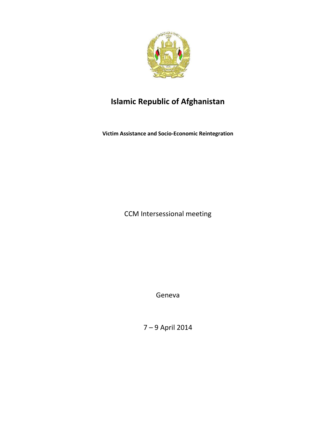

# **Islamic Republic of Afghanistan**

**Victim Assistance and Socio-Economic Reintegration**

CCM Intersessional meeting

Geneva

7 – 9 April 2014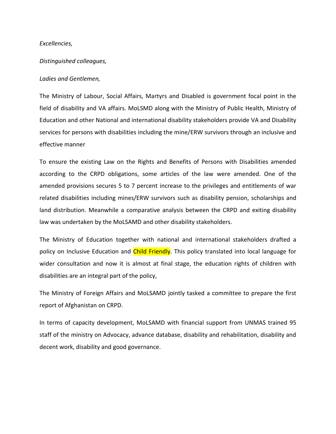### *Excellencies,*

### *Distinguished colleagues,*

#### *Ladies and Gentlemen,*

The Ministry of Labour, Social Affairs, Martyrs and Disabled is government focal point in the field of disability and VA affairs. MoLSMD along with the Ministry of Public Health, Ministry of Education and other National and international disability stakeholders provide VA and Disability services for persons with disabilities including the mine/ERW survivors through an inclusive and effective manner

To ensure the existing Law on the Rights and Benefits of Persons with Disabilities amended according to the CRPD obligations, some articles of the law were amended. One of the amended provisions secures 5 to 7 percent increase to the privileges and entitlements of war related disabilities including mines/ERW survivors such as disability pension, scholarships and land distribution. Meanwhile a comparative analysis between the CRPD and exiting disability law was undertaken by the MoLSAMD and other disability stakeholders.

The Ministry of Education together with national and international stakeholders drafted a policy on Inclusive Education and **Child Friendly**. This policy translated into local language for wider consultation and now it is almost at final stage, the education rights of children with disabilities are an integral part of the policy,

The Ministry of Foreign Affairs and MoLSAMD jointly tasked a committee to prepare the first report of Afghanistan on CRPD.

In terms of capacity development, MoLSAMD with financial support from UNMAS trained 95 staff of the ministry on Advocacy, advance database, disability and rehabilitation, disability and decent work, disability and good governance.